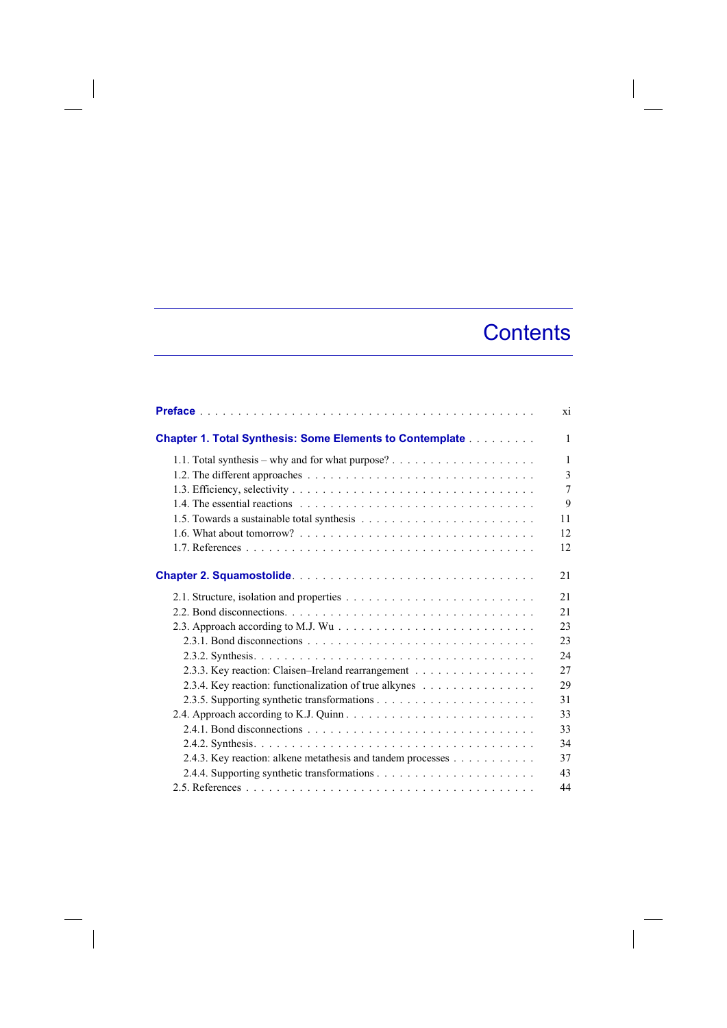## **Contents**

|                                                                                                               | xi             |
|---------------------------------------------------------------------------------------------------------------|----------------|
| <b>Chapter 1. Total Synthesis: Some Elements to Contemplate</b>                                               | $\mathbf{1}$   |
|                                                                                                               | $\mathbf{1}$   |
| 1.2. The different approaches $\dots \dots \dots \dots \dots \dots \dots \dots \dots \dots \dots \dots \dots$ | $\overline{3}$ |
|                                                                                                               | $\overline{7}$ |
|                                                                                                               | 9              |
|                                                                                                               | 11             |
|                                                                                                               | 12             |
|                                                                                                               | 12             |
|                                                                                                               | 21             |
|                                                                                                               | 2.1            |
|                                                                                                               | 21             |
|                                                                                                               | 23             |
|                                                                                                               | 23             |
|                                                                                                               | 24             |
| 2.3.3. Key reaction: Claisen-Ireland rearrangement                                                            | 27             |
| 2.3.4. Key reaction: functionalization of true alkynes                                                        | 29             |
|                                                                                                               | 31             |
|                                                                                                               | 33             |
|                                                                                                               | 33             |
|                                                                                                               | 34             |
| 2.4.3. Key reaction: alkene metathesis and tandem processes                                                   | 37             |
|                                                                                                               | 43             |
|                                                                                                               | 44             |

 $\begin{array}{c} \hline \end{array}$ 

 $\overline{\phantom{a}}$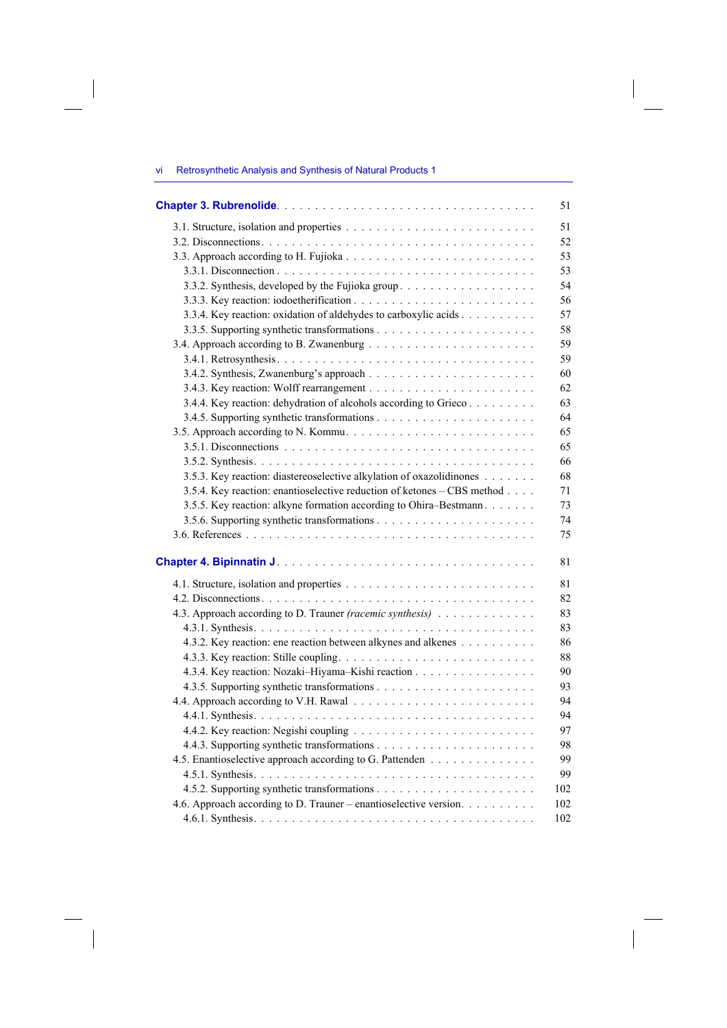| vi | <b>Retrosynthetic Analysis and Synthesis of Natural Products 1</b> |  |  |
|----|--------------------------------------------------------------------|--|--|
|    |                                                                    |  |  |

 $\|$ 

|                                                                         | 51  |
|-------------------------------------------------------------------------|-----|
|                                                                         | 51  |
|                                                                         | 52  |
|                                                                         | 53  |
|                                                                         | 53  |
|                                                                         | 54  |
|                                                                         | 56  |
| 3.3.4. Key reaction: oxidation of aldehydes to carboxylic acids         | 57  |
|                                                                         | 58  |
|                                                                         | 59  |
|                                                                         | 59  |
|                                                                         | 60  |
|                                                                         | 62  |
| 3.4.4. Key reaction: dehydration of alcohols according to Grieco        | 63  |
|                                                                         | 64  |
|                                                                         | 65  |
|                                                                         | 65  |
|                                                                         | 66  |
| 3.5.3. Key reaction: diastereoselective alkylation of oxazolidinones    | 68  |
| 3.5.4. Key reaction: enantioselective reduction of ketones – CBS method | 71  |
| 3.5.5. Key reaction: alkyne formation according to Ohira-Bestmann.      | 73  |
|                                                                         | 74  |
|                                                                         | 75  |
|                                                                         | 81  |
|                                                                         | 81  |
|                                                                         | 82  |
| 4.3. Approach according to D. Trauner (racemic synthesis)               | 83  |
|                                                                         | 83  |
| 4.3.2. Key reaction: ene reaction between alkynes and alkenes           | 86  |
|                                                                         | 88  |
| 4.3.4. Key reaction: Nozaki-Hiyama-Kishi reaction                       | 90  |
|                                                                         | 93  |
|                                                                         | 94  |
|                                                                         | 94  |
|                                                                         | 97  |
|                                                                         | 98  |
| 4.5. Enantioselective approach according to G. Pattenden                | 99  |
|                                                                         | 99  |
|                                                                         | 102 |
| 4.6. Approach according to D. Trauner – enantioselective version.       | 102 |
|                                                                         | 102 |
|                                                                         |     |

 $\mathcal{A}$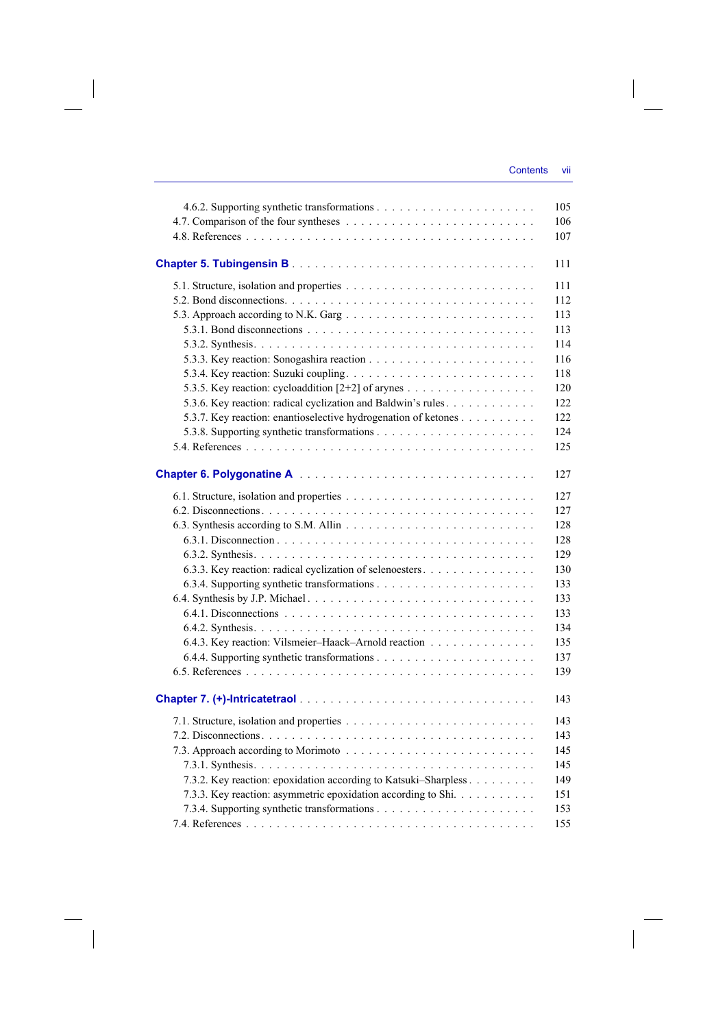$\overline{\phantom{a}}$ 

|                                                                                                                                        | 105 |
|----------------------------------------------------------------------------------------------------------------------------------------|-----|
|                                                                                                                                        | 106 |
|                                                                                                                                        | 107 |
|                                                                                                                                        |     |
|                                                                                                                                        | 111 |
|                                                                                                                                        | 111 |
|                                                                                                                                        | 112 |
|                                                                                                                                        | 113 |
| 5.3.1. Bond disconnections $\ldots$ , $\ldots$ , $\ldots$ , $\ldots$ , $\ldots$ , $\ldots$ , $\ldots$ , $\ldots$ , $\ldots$ , $\ldots$ | 113 |
|                                                                                                                                        | 114 |
|                                                                                                                                        | 116 |
|                                                                                                                                        | 118 |
|                                                                                                                                        | 120 |
| 5.3.6. Key reaction: radical cyclization and Baldwin's rules.                                                                          | 122 |
| 5.3.7. Key reaction: enantioselective hydrogenation of ketones                                                                         | 122 |
|                                                                                                                                        | 124 |
|                                                                                                                                        | 125 |
|                                                                                                                                        |     |
|                                                                                                                                        | 127 |
|                                                                                                                                        | 127 |
|                                                                                                                                        | 127 |
|                                                                                                                                        | 128 |
|                                                                                                                                        | 128 |
|                                                                                                                                        | 129 |
| 6.3.3. Key reaction: radical cyclization of selenoesters.                                                                              | 130 |
|                                                                                                                                        | 133 |
|                                                                                                                                        | 133 |
|                                                                                                                                        | 133 |
|                                                                                                                                        | 134 |
| 6.4.3. Key reaction: Vilsmeier-Haack-Arnold reaction                                                                                   | 135 |
|                                                                                                                                        | 137 |
|                                                                                                                                        | 139 |
|                                                                                                                                        | 143 |
|                                                                                                                                        |     |
|                                                                                                                                        | 143 |
|                                                                                                                                        | 143 |
|                                                                                                                                        | 145 |
|                                                                                                                                        | 145 |
| 7.3.2. Key reaction: epoxidation according to Katsuki-Sharpless                                                                        | 149 |
| 7.3.3. Key reaction: asymmetric epoxidation according to Shi.                                                                          | 151 |
|                                                                                                                                        | 153 |
|                                                                                                                                        | 155 |

 $\overline{\phantom{a}}$ 

 $\begin{array}{c} \hline \end{array}$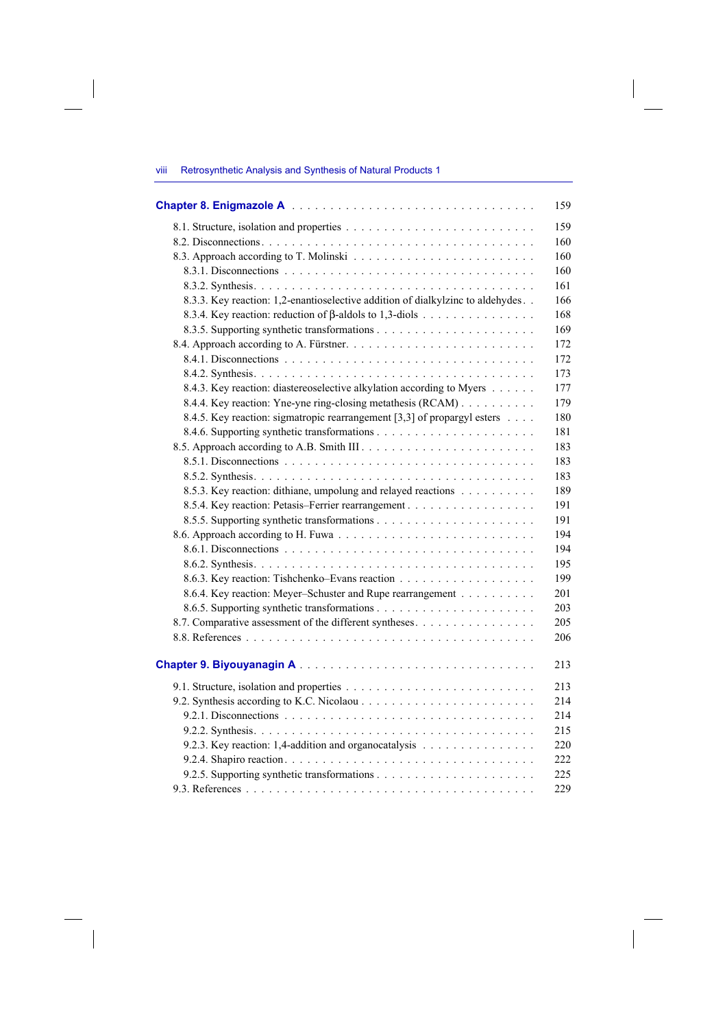|  | viii |  |  | <b>Retrosynthetic Analysis and Synthesis of Natural Products 1</b> |
|--|------|--|--|--------------------------------------------------------------------|
|--|------|--|--|--------------------------------------------------------------------|

| 8.3.3. Key reaction: 1,2-enantioselective addition of dialkylzinc to aldehydes                       |
|------------------------------------------------------------------------------------------------------|
| 8.3.4. Key reaction: reduction of $\beta$ -aldols to 1,3-diols                                       |
|                                                                                                      |
|                                                                                                      |
|                                                                                                      |
|                                                                                                      |
| 8.4.3. Key reaction: diastereoselective alkylation according to Myers                                |
| 8.4.4. Key reaction: Yne-yne ring-closing metathesis (RCAM)                                          |
| 8.4.5. Key reaction: sigmatropic rearrangement [3,3] of propargyl esters                             |
|                                                                                                      |
|                                                                                                      |
|                                                                                                      |
|                                                                                                      |
| 8.5.3. Key reaction: dithiane, umpolung and relayed reactions                                        |
|                                                                                                      |
|                                                                                                      |
|                                                                                                      |
|                                                                                                      |
|                                                                                                      |
|                                                                                                      |
| 8.6.4. Key reaction: Meyer-Schuster and Rupe rearrangement                                           |
|                                                                                                      |
| 8.7. Comparative assessment of the different syntheses.                                              |
|                                                                                                      |
|                                                                                                      |
|                                                                                                      |
|                                                                                                      |
| 9.2.1. Disconnections $\ldots \ldots \ldots \ldots \ldots \ldots \ldots \ldots \ldots \ldots \ldots$ |
|                                                                                                      |
| 9.2.3. Key reaction: 1,4-addition and organocatalysis                                                |
|                                                                                                      |
|                                                                                                      |
|                                                                                                      |

 $\mathcal{L}_{\mathcal{A}}$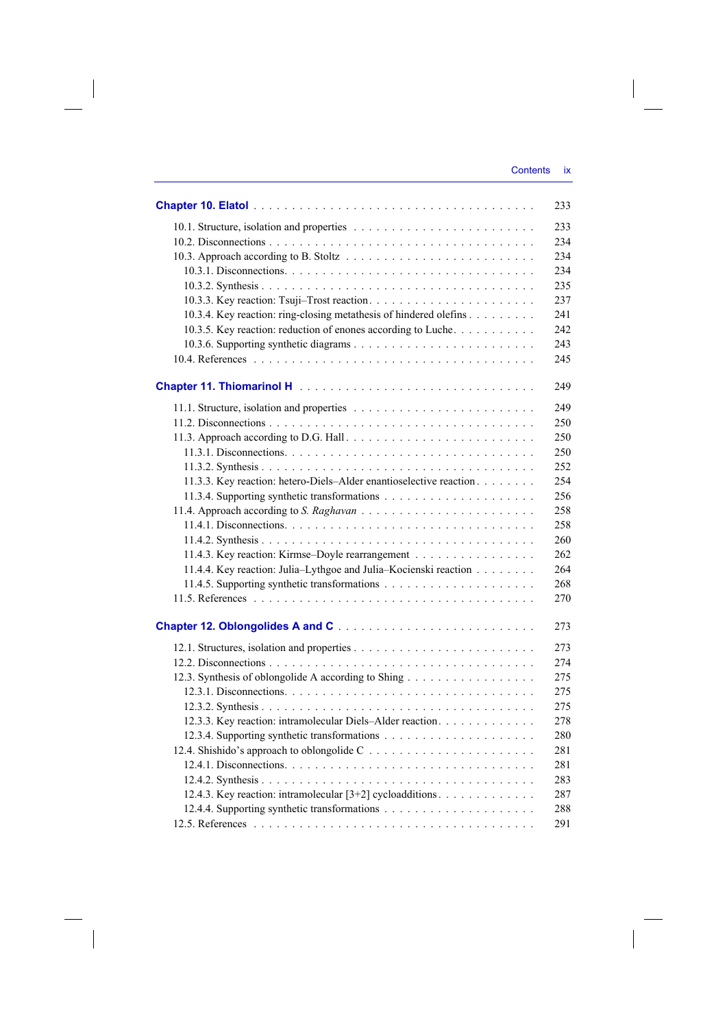$\overline{\phantom{a}}$ 

|                                                                     | 233 |
|---------------------------------------------------------------------|-----|
|                                                                     | 233 |
|                                                                     | 234 |
|                                                                     | 234 |
|                                                                     | 234 |
|                                                                     | 235 |
|                                                                     | 237 |
| 10.3.4. Key reaction: ring-closing metathesis of hindered olefins   | 241 |
| 10.3.5. Key reaction: reduction of enones according to Luche.       | 242 |
|                                                                     | 243 |
|                                                                     | 245 |
|                                                                     |     |
|                                                                     | 249 |
|                                                                     | 249 |
|                                                                     | 250 |
|                                                                     | 250 |
|                                                                     | 250 |
|                                                                     | 252 |
| 11.3.3. Key reaction: hetero-Diels-Alder enantioselective reaction. | 254 |
|                                                                     | 256 |
|                                                                     | 258 |
|                                                                     | 258 |
|                                                                     | 260 |
| 11.4.3. Key reaction: Kirmse-Doyle rearrangement                    | 262 |
| 11.4.4. Key reaction: Julia–Lythgoe and Julia–Kocienski reaction    | 264 |
|                                                                     | 268 |
|                                                                     | 270 |
|                                                                     |     |
|                                                                     | 273 |
|                                                                     | 273 |
|                                                                     | 274 |
| 12.3. Synthesis of oblongolide A according to Shing                 | 275 |
|                                                                     | 275 |
|                                                                     | 275 |
| 12.3.3. Key reaction: intramolecular Diels-Alder reaction.          | 278 |
|                                                                     | 280 |
|                                                                     | 281 |
|                                                                     | 281 |
|                                                                     | 283 |
| 12.4.3. Key reaction: intramolecular [3+2] cycloadditions.          | 287 |
|                                                                     | 288 |
|                                                                     | 291 |

 $\overline{\phantom{a}}$ 

 $\mathcal{L}^{\mathcal{L}}$